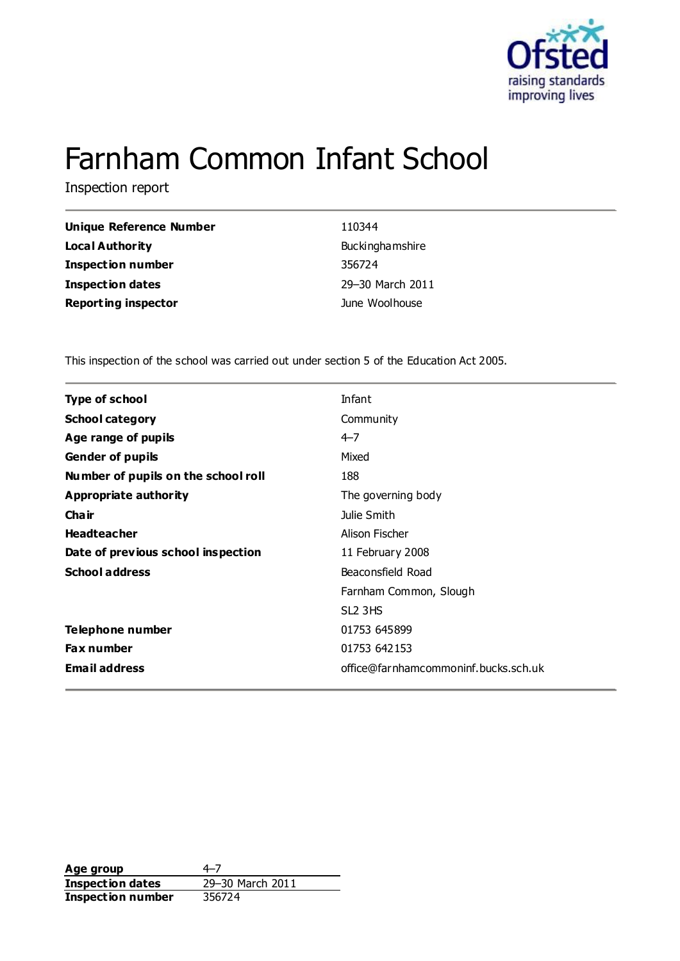

# Farnham Common Infant School

Inspection report

| Unique Reference Number    | 110344                 |
|----------------------------|------------------------|
| <b>Local Authority</b>     | <b>Buckinghamshire</b> |
| <b>Inspection number</b>   | 356724                 |
| <b>Inspection dates</b>    | 29-30 March 2011       |
| <b>Reporting inspector</b> | June Woolhouse         |

This inspection of the school was carried out under section 5 of the Education Act 2005.

| <b>Type of school</b>               | Infant                               |
|-------------------------------------|--------------------------------------|
| <b>School category</b>              | Community                            |
| Age range of pupils                 | $4 - 7$                              |
| <b>Gender of pupils</b>             | Mixed                                |
| Number of pupils on the school roll | 188                                  |
| <b>Appropriate authority</b>        | The governing body                   |
| Cha ir                              | Julie Smith                          |
| <b>Headteacher</b>                  | Alison Fischer                       |
| Date of previous school inspection  | 11 February 2008                     |
| <b>School address</b>               | Beaconsfield Road                    |
|                                     | Farnham Common, Slough               |
|                                     | SL <sub>2</sub> 3HS                  |
| Telephone number                    | 01753 645899                         |
| Fax number                          | 01753 642153                         |
| <b>Email address</b>                | office@farnhamcommoninf.bucks.sch.uk |
|                                     |                                      |

Age group<br> **Inspection dates** 29–30 March 2011 **Inspection dates** 29–30 M<br>**Inspection number** 356724 **Inspection number**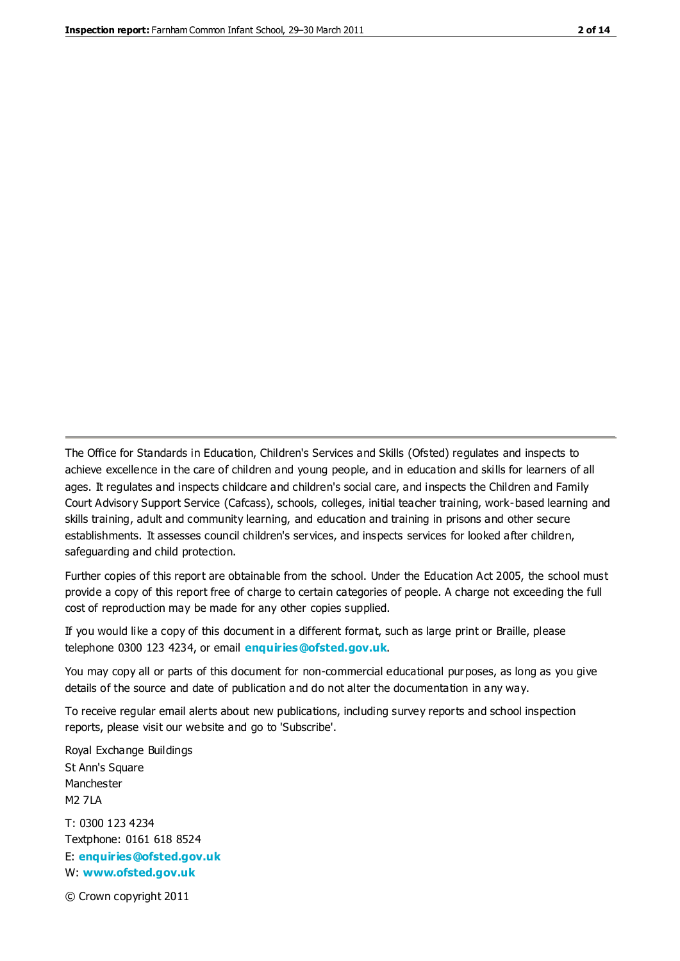The Office for Standards in Education, Children's Services and Skills (Ofsted) regulates and inspects to achieve excellence in the care of children and young people, and in education and skills for learners of all ages. It regulates and inspects childcare and children's social care, and inspects the Children and Family Court Advisory Support Service (Cafcass), schools, colleges, initial teacher training, work-based learning and skills training, adult and community learning, and education and training in prisons and other secure establishments. It assesses council children's services, and inspects services for looked after children, safeguarding and child protection.

Further copies of this report are obtainable from the school. Under the Education Act 2005, the school must provide a copy of this report free of charge to certain categories of people. A charge not exceeding the full cost of reproduction may be made for any other copies supplied.

If you would like a copy of this document in a different format, such as large print or Braille, please telephone 0300 123 4234, or email **[enquiries@ofsted.gov.uk](mailto:enquiries@ofsted.gov.uk)**.

You may copy all or parts of this document for non-commercial educational purposes, as long as you give details of the source and date of publication and do not alter the documentation in any way.

To receive regular email alerts about new publications, including survey reports and school inspection reports, please visit our website and go to 'Subscribe'.

Royal Exchange Buildings St Ann's Square Manchester M2 7LA T: 0300 123 4234 Textphone: 0161 618 8524 E: **[enquiries@ofsted.gov.uk](mailto:enquiries@ofsted.gov.uk)**

W: **[www.ofsted.gov.uk](http://www.ofsted.gov.uk/)**

© Crown copyright 2011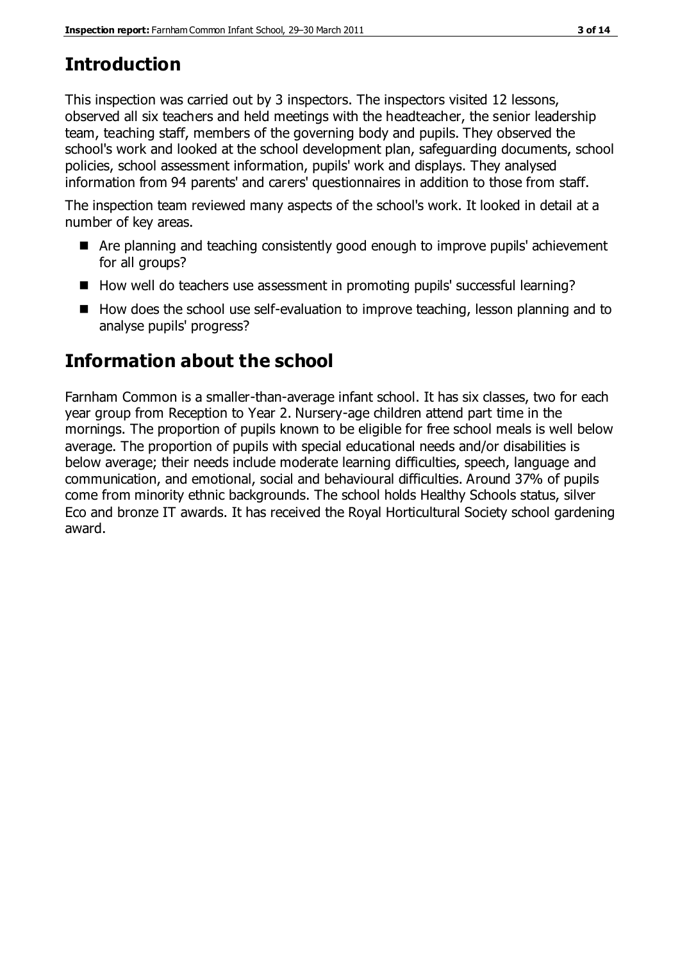### **Introduction**

This inspection was carried out by 3 inspectors. The inspectors visited 12 lessons, observed all six teachers and held meetings with the headteacher, the senior leadership team, teaching staff, members of the governing body and pupils. They observed the school's work and looked at the school development plan, safeguarding documents, school policies, school assessment information, pupils' work and displays. They analysed information from 94 parents' and carers' questionnaires in addition to those from staff.

The inspection team reviewed many aspects of the school's work. It looked in detail at a number of key areas.

- Are planning and teaching consistently good enough to improve pupils' achievement for all groups?
- How well do teachers use assessment in promoting pupils' successful learning?
- How does the school use self-evaluation to improve teaching, lesson planning and to analyse pupils' progress?

### **Information about the school**

Farnham Common is a smaller-than-average infant school. It has six classes, two for each year group from Reception to Year 2. Nursery-age children attend part time in the mornings. The proportion of pupils known to be eligible for free school meals is well below average. The proportion of pupils with special educational needs and/or disabilities is below average; their needs include moderate learning difficulties, speech, language and communication, and emotional, social and behavioural difficulties. Around 37% of pupils come from minority ethnic backgrounds. The school holds Healthy Schools status, silver Eco and bronze IT awards. It has received the Royal Horticultural Society school gardening award.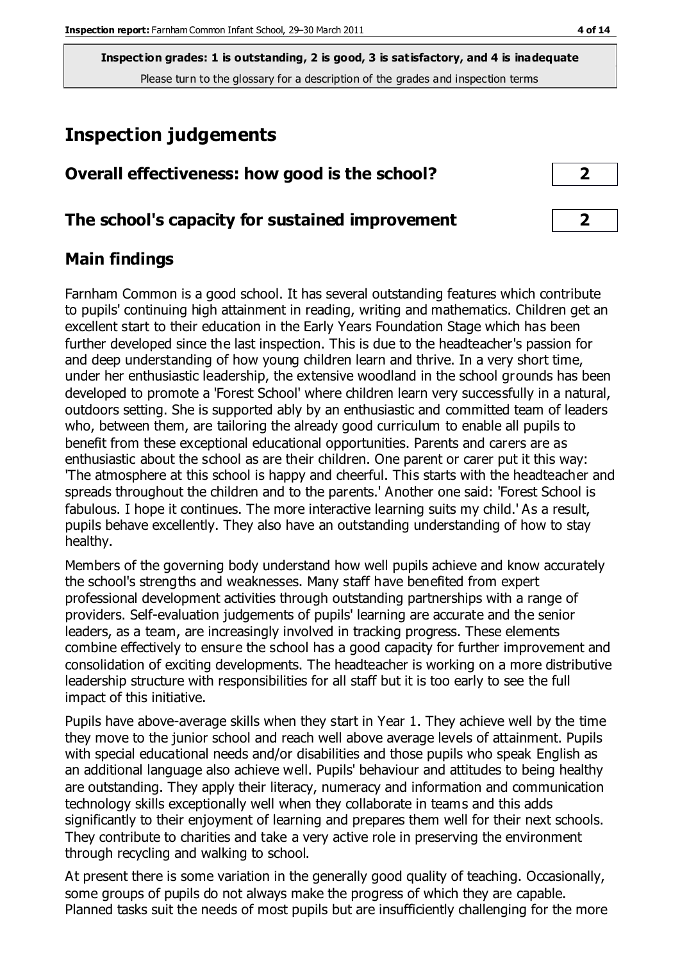#### **Inspection judgements**

| Overall effectiveness: how good is the school? |  |
|------------------------------------------------|--|
|                                                |  |

#### **The school's capacity for sustained improvement 2**

#### **Main findings**

Farnham Common is a good school. It has several outstanding features which contribute to pupils' continuing high attainment in reading, writing and mathematics. Children get an excellent start to their education in the Early Years Foundation Stage which has been further developed since the last inspection. This is due to the headteacher's passion for and deep understanding of how young children learn and thrive. In a very short time, under her enthusiastic leadership, the extensive woodland in the school grounds has been developed to promote a 'Forest School' where children learn very successfully in a natural, outdoors setting. She is supported ably by an enthusiastic and committed team of leaders who, between them, are tailoring the already good curriculum to enable all pupils to benefit from these exceptional educational opportunities. Parents and carers are as enthusiastic about the school as are their children. One parent or carer put it this way: 'The atmosphere at this school is happy and cheerful. This starts with the headteacher and spreads throughout the children and to the parents.' Another one said: 'Forest School is fabulous. I hope it continues. The more interactive learning suits my child.' As a result, pupils behave excellently. They also have an outstanding understanding of how to stay healthy.

Members of the governing body understand how well pupils achieve and know accurately the school's strengths and weaknesses. Many staff have benefited from expert professional development activities through outstanding partnerships with a range of providers. Self-evaluation judgements of pupils' learning are accurate and the senior leaders, as a team, are increasingly involved in tracking progress. These elements combine effectively to ensure the school has a good capacity for further improvement and consolidation of exciting developments. The headteacher is working on a more distributive leadership structure with responsibilities for all staff but it is too early to see the full impact of this initiative.

Pupils have above-average skills when they start in Year 1. They achieve well by the time they move to the junior school and reach well above average levels of attainment. Pupils with special educational needs and/or disabilities and those pupils who speak English as an additional language also achieve well. Pupils' behaviour and attitudes to being healthy are outstanding. They apply their literacy, numeracy and information and communication technology skills exceptionally well when they collaborate in teams and this adds significantly to their enjoyment of learning and prepares them well for their next schools. They contribute to charities and take a very active role in preserving the environment through recycling and walking to school.

At present there is some variation in the generally good quality of teaching. Occasionally, some groups of pupils do not always make the progress of which they are capable. Planned tasks suit the needs of most pupils but are insufficiently challenging for the more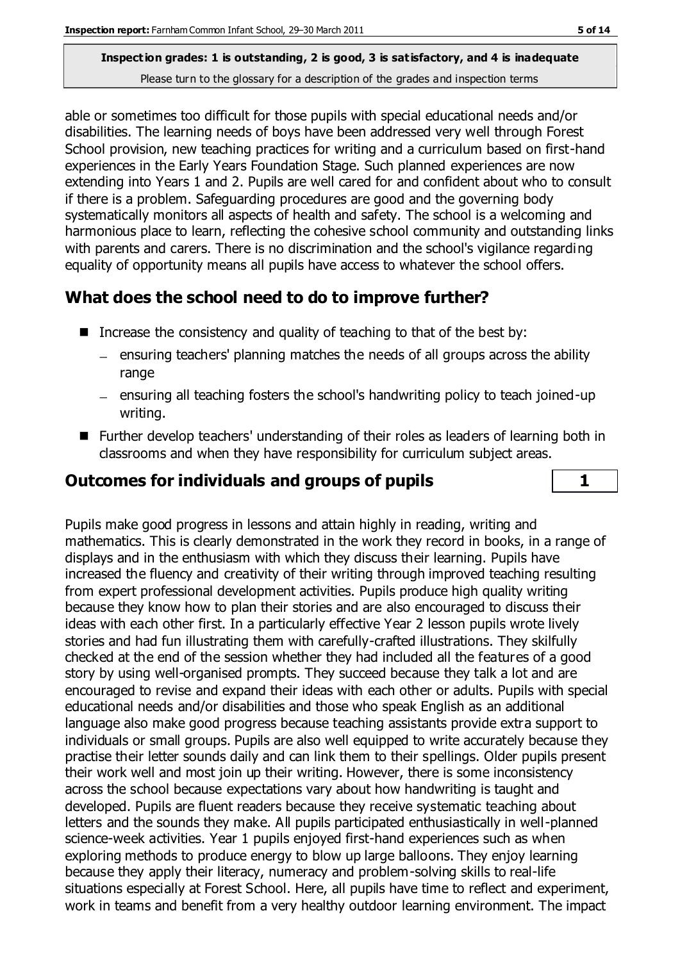able or sometimes too difficult for those pupils with special educational needs and/or disabilities. The learning needs of boys have been addressed very well through Forest School provision, new teaching practices for writing and a curriculum based on first-hand experiences in the Early Years Foundation Stage. Such planned experiences are now extending into Years 1 and 2. Pupils are well cared for and confident about who to consult if there is a problem. Safeguarding procedures are good and the governing body systematically monitors all aspects of health and safety. The school is a welcoming and harmonious place to learn, reflecting the cohesive school community and outstanding links with parents and carers. There is no discrimination and the school's vigilance regarding equality of opportunity means all pupils have access to whatever the school offers.

#### **What does the school need to do to improve further?**

- Increase the consistency and quality of teaching to that of the best by:
	- $\overline{a}$  ensuring teachers' planning matches the needs of all groups across the ability range
	- $-$  ensuring all teaching fosters the school's handwriting policy to teach joined-up writing.
- Further develop teachers' understanding of their roles as leaders of learning both in classrooms and when they have responsibility for curriculum subject areas.

#### **Outcomes for individuals and groups of pupils 1**

Pupils make good progress in lessons and attain highly in reading, writing and mathematics. This is clearly demonstrated in the work they record in books, in a range of displays and in the enthusiasm with which they discuss their learning. Pupils have increased the fluency and creativity of their writing through improved teaching resulting from expert professional development activities. Pupils produce high quality writing because they know how to plan their stories and are also encouraged to discuss their ideas with each other first. In a particularly effective Year 2 lesson pupils wrote lively stories and had fun illustrating them with carefully-crafted illustrations. They skilfully checked at the end of the session whether they had included all the features of a good story by using well-organised prompts. They succeed because they talk a lot and are encouraged to revise and expand their ideas with each other or adults. Pupils with special educational needs and/or disabilities and those who speak English as an additional language also make good progress because teaching assistants provide extra support to individuals or small groups. Pupils are also well equipped to write accurately because they practise their letter sounds daily and can link them to their spellings. Older pupils present their work well and most join up their writing. However, there is some inconsistency across the school because expectations vary about how handwriting is taught and developed. Pupils are fluent readers because they receive systematic teaching about letters and the sounds they make. All pupils participated enthusiastically in well-planned science-week activities. Year 1 pupils enjoyed first-hand experiences such as when exploring methods to produce energy to blow up large balloons. They enjoy learning because they apply their literacy, numeracy and problem-solving skills to real-life situations especially at Forest School. Here, all pupils have time to reflect and experiment, work in teams and benefit from a very healthy outdoor learning environment. The impact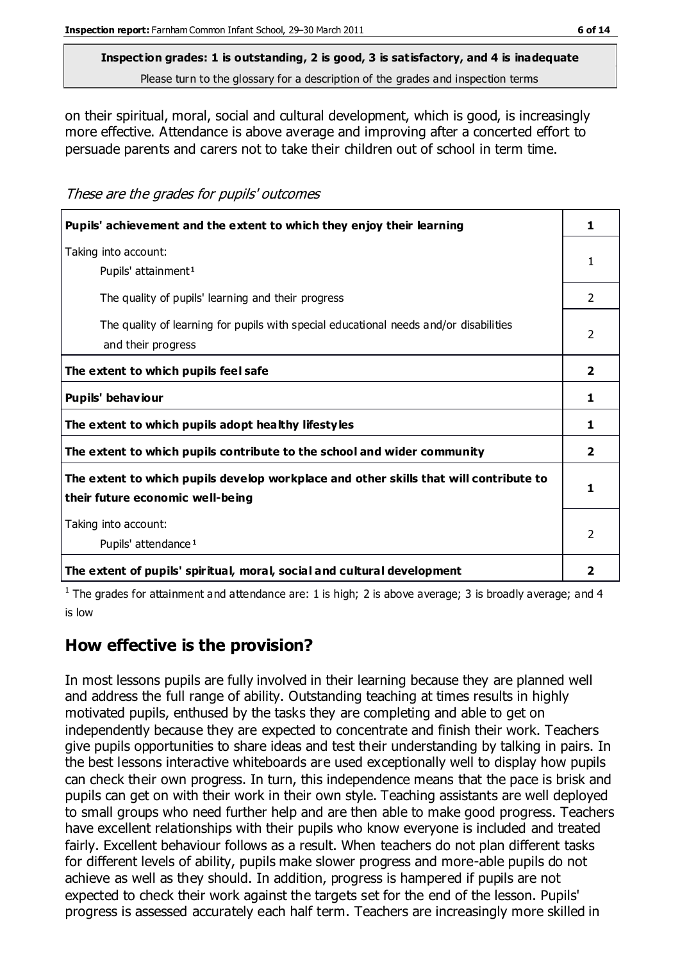on their spiritual, moral, social and cultural development, which is good, is increasingly more effective. Attendance is above average and improving after a concerted effort to persuade parents and carers not to take their children out of school in term time.

These are the grades for pupils' outcomes

| Pupils' achievement and the extent to which they enjoy their learning                                                     | 1.             |
|---------------------------------------------------------------------------------------------------------------------------|----------------|
| Taking into account:<br>Pupils' attainment <sup>1</sup>                                                                   |                |
| The quality of pupils' learning and their progress                                                                        | $\mathcal{P}$  |
| The quality of learning for pupils with special educational needs and/or disabilities<br>and their progress               | $\mathcal{P}$  |
| The extent to which pupils feel safe                                                                                      | $\overline{2}$ |
| Pupils' behaviour                                                                                                         | 1              |
| The extent to which pupils adopt healthy lifestyles                                                                       | 1.             |
| The extent to which pupils contribute to the school and wider community                                                   | 2              |
| The extent to which pupils develop workplace and other skills that will contribute to<br>their future economic well-being | 1              |
| Taking into account:<br>Pupils' attendance <sup>1</sup>                                                                   | 2              |
| The extent of pupils' spiritual, moral, social and cultural development                                                   | 2              |

<sup>1</sup> The grades for attainment and attendance are: 1 is high; 2 is above average; 3 is broadly average; and 4 is low

#### **How effective is the provision?**

In most lessons pupils are fully involved in their learning because they are planned well and address the full range of ability. Outstanding teaching at times results in highly motivated pupils, enthused by the tasks they are completing and able to get on independently because they are expected to concentrate and finish their work. Teachers give pupils opportunities to share ideas and test their understanding by talking in pairs. In the best lessons interactive whiteboards are used exceptionally well to display how pupils can check their own progress. In turn, this independence means that the pace is brisk and pupils can get on with their work in their own style. Teaching assistants are well deployed to small groups who need further help and are then able to make good progress. Teachers have excellent relationships with their pupils who know everyone is included and treated fairly. Excellent behaviour follows as a result. When teachers do not plan different tasks for different levels of ability, pupils make slower progress and more-able pupils do not achieve as well as they should. In addition, progress is hampered if pupils are not expected to check their work against the targets set for the end of the lesson. Pupils' progress is assessed accurately each half term. Teachers are increasingly more skilled in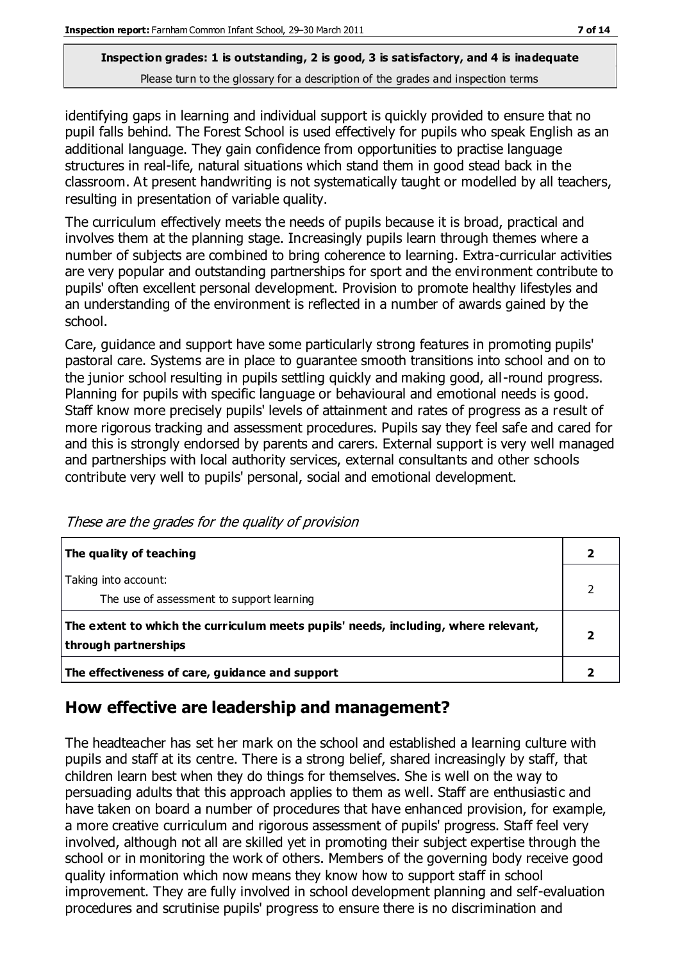identifying gaps in learning and individual support is quickly provided to ensure that no pupil falls behind. The Forest School is used effectively for pupils who speak English as an additional language. They gain confidence from opportunities to practise language structures in real-life, natural situations which stand them in good stead back in the classroom. At present handwriting is not systematically taught or modelled by all teachers, resulting in presentation of variable quality.

The curriculum effectively meets the needs of pupils because it is broad, practical and involves them at the planning stage. Increasingly pupils learn through themes where a number of subjects are combined to bring coherence to learning. Extra-curricular activities are very popular and outstanding partnerships for sport and the environment contribute to pupils' often excellent personal development. Provision to promote healthy lifestyles and an understanding of the environment is reflected in a number of awards gained by the school.

Care, guidance and support have some particularly strong features in promoting pupils' pastoral care. Systems are in place to guarantee smooth transitions into school and on to the junior school resulting in pupils settling quickly and making good, all-round progress. Planning for pupils with specific language or behavioural and emotional needs is good. Staff know more precisely pupils' levels of attainment and rates of progress as a result of more rigorous tracking and assessment procedures. Pupils say they feel safe and cared for and this is strongly endorsed by parents and carers. External support is very well managed and partnerships with local authority services, external consultants and other schools contribute very well to pupils' personal, social and emotional development.

| The quality of teaching                                                                                    |  |
|------------------------------------------------------------------------------------------------------------|--|
| Taking into account:<br>The use of assessment to support learning                                          |  |
| The extent to which the curriculum meets pupils' needs, including, where relevant,<br>through partnerships |  |
| The effectiveness of care, guidance and support                                                            |  |

These are the grades for the quality of provision

#### **How effective are leadership and management?**

The headteacher has set her mark on the school and established a learning culture with pupils and staff at its centre. There is a strong belief, shared increasingly by staff, that children learn best when they do things for themselves. She is well on the way to persuading adults that this approach applies to them as well. Staff are enthusiastic and have taken on board a number of procedures that have enhanced provision, for example, a more creative curriculum and rigorous assessment of pupils' progress. Staff feel very involved, although not all are skilled yet in promoting their subject expertise through the school or in monitoring the work of others. Members of the governing body receive good quality information which now means they know how to support staff in school improvement. They are fully involved in school development planning and self-evaluation procedures and scrutinise pupils' progress to ensure there is no discrimination and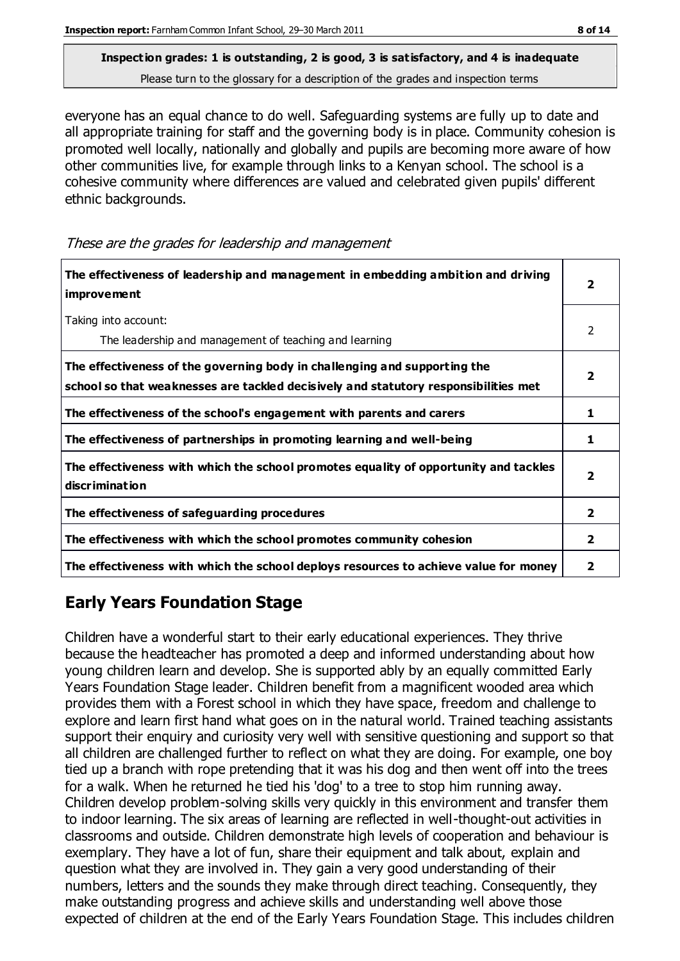## **Inspection grades: 1 is outstanding, 2 is good, 3 is satisfactory, and 4 is inadequate**

Please turn to the glossary for a description of the grades and inspection terms

everyone has an equal chance to do well. Safeguarding systems are fully up to date and all appropriate training for staff and the governing body is in place. Community cohesion is promoted well locally, nationally and globally and pupils are becoming more aware of how other communities live, for example through links to a Kenyan school. The school is a cohesive community where differences are valued and celebrated given pupils' different ethnic backgrounds.

These are the grades for leadership and management

| The effectiveness of leadership and management in embedding ambition and driving<br>improvement                                                                  | 2                       |
|------------------------------------------------------------------------------------------------------------------------------------------------------------------|-------------------------|
| Taking into account:<br>The leadership and management of teaching and learning                                                                                   | 2                       |
| The effectiveness of the governing body in challenging and supporting the<br>school so that weaknesses are tackled decisively and statutory responsibilities met | 2                       |
| The effectiveness of the school's engagement with parents and carers                                                                                             | 1                       |
| The effectiveness of partnerships in promoting learning and well-being                                                                                           | 1                       |
| The effectiveness with which the school promotes equality of opportunity and tackles<br>discrimination                                                           | $\overline{\mathbf{2}}$ |
| The effectiveness of safeguarding procedures                                                                                                                     | $\overline{2}$          |
| The effectiveness with which the school promotes community cohesion                                                                                              | $\mathbf{2}$            |
| The effectiveness with which the school deploys resources to achieve value for money                                                                             | 2                       |

#### **Early Years Foundation Stage**

Children have a wonderful start to their early educational experiences. They thrive because the headteacher has promoted a deep and informed understanding about how young children learn and develop. She is supported ably by an equally committed Early Years Foundation Stage leader. Children benefit from a magnificent wooded area which provides them with a Forest school in which they have space, freedom and challenge to explore and learn first hand what goes on in the natural world. Trained teaching assistants support their enquiry and curiosity very well with sensitive questioning and support so that all children are challenged further to reflect on what they are doing. For example, one boy tied up a branch with rope pretending that it was his dog and then went off into the trees for a walk. When he returned he tied his 'dog' to a tree to stop him running away. Children develop problem-solving skills very quickly in this environment and transfer them to indoor learning. The six areas of learning are reflected in well-thought-out activities in classrooms and outside. Children demonstrate high levels of cooperation and behaviour is exemplary. They have a lot of fun, share their equipment and talk about, explain and question what they are involved in. They gain a very good understanding of their numbers, letters and the sounds they make through direct teaching. Consequently, they make outstanding progress and achieve skills and understanding well above those expected of children at the end of the Early Years Foundation Stage. This includes children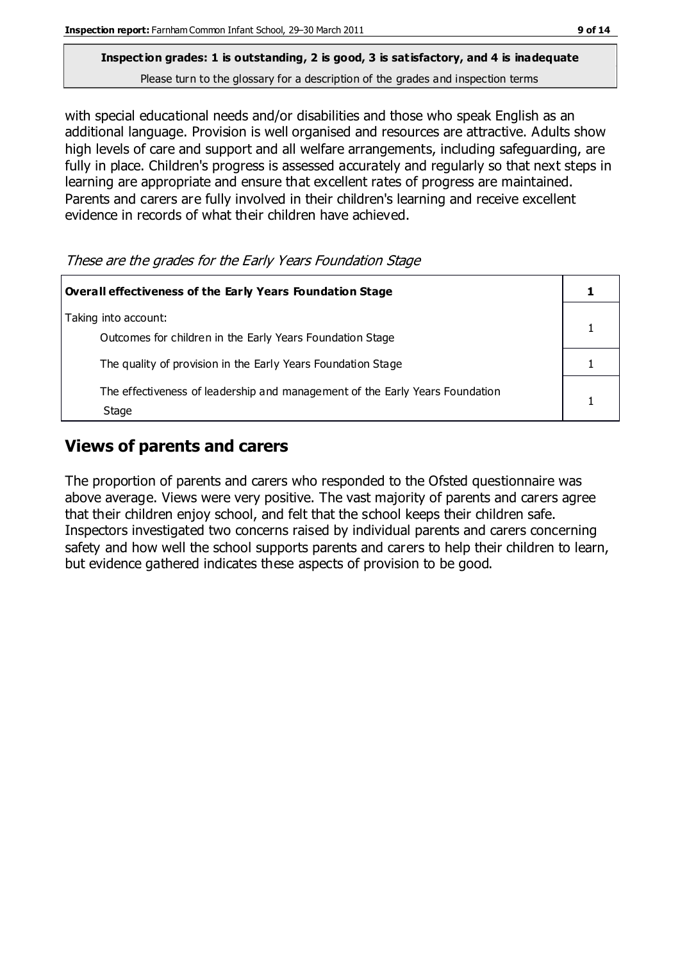with special educational needs and/or disabilities and those who speak English as an additional language. Provision is well organised and resources are attractive. Adults show high levels of care and support and all welfare arrangements, including safeguarding, are fully in place. Children's progress is assessed accurately and regularly so that next steps in learning are appropriate and ensure that excellent rates of progress are maintained. Parents and carers are fully involved in their children's learning and receive excellent evidence in records of what their children have achieved.

#### These are the grades for the Early Years Foundation Stage

| Overall effectiveness of the Early Years Foundation Stage                             |  |
|---------------------------------------------------------------------------------------|--|
| Taking into account:<br>Outcomes for children in the Early Years Foundation Stage     |  |
| The quality of provision in the Early Years Foundation Stage                          |  |
| The effectiveness of leadership and management of the Early Years Foundation<br>Stage |  |

#### **Views of parents and carers**

The proportion of parents and carers who responded to the Ofsted questionnaire was above average. Views were very positive. The vast majority of parents and carers agree that their children enjoy school, and felt that the school keeps their children safe. Inspectors investigated two concerns raised by individual parents and carers concerning safety and how well the school supports parents and carers to help their children to learn, but evidence gathered indicates these aspects of provision to be good.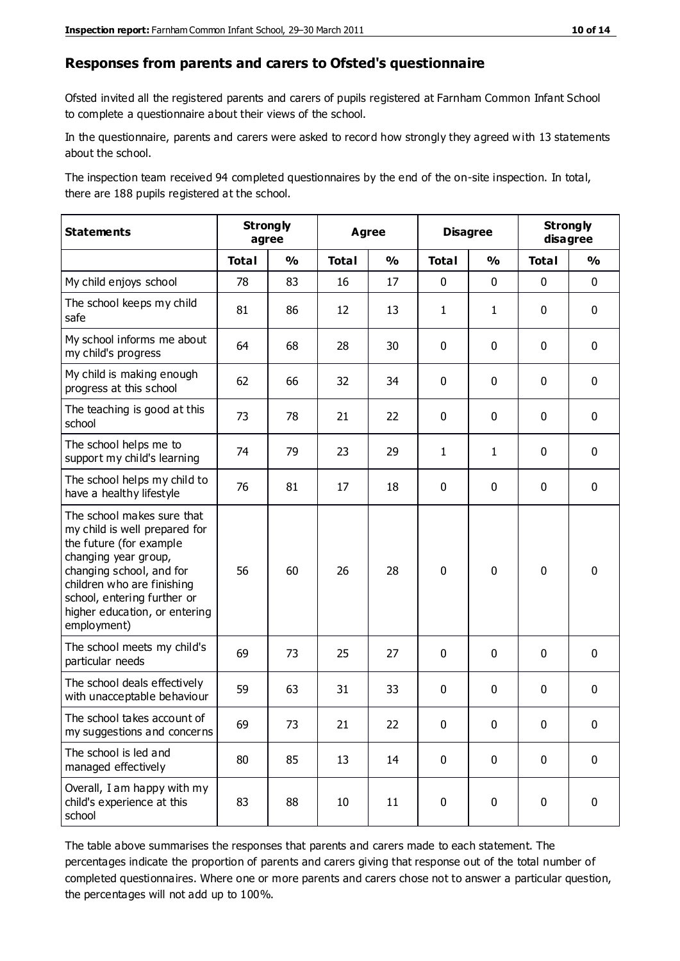#### **Responses from parents and carers to Ofsted's questionnaire**

Ofsted invited all the registered parents and carers of pupils registered at Farnham Common Infant School to complete a questionnaire about their views of the school.

In the questionnaire, parents and carers were asked to record how strongly they agreed with 13 statements about the school.

The inspection team received 94 completed questionnaires by the end of the on-site inspection. In total, there are 188 pupils registered at the school.

| <b>Statements</b>                                                                                                                                                                                                                                       | <b>Strongly</b><br>agree |               | Agree        |               | <b>Disagree</b> |               | <b>Strongly</b><br>disagree |               |
|---------------------------------------------------------------------------------------------------------------------------------------------------------------------------------------------------------------------------------------------------------|--------------------------|---------------|--------------|---------------|-----------------|---------------|-----------------------------|---------------|
|                                                                                                                                                                                                                                                         | <b>Total</b>             | $\frac{1}{2}$ | <b>Total</b> | $\frac{1}{2}$ | <b>Total</b>    | $\frac{0}{0}$ | <b>Total</b>                | $\frac{0}{0}$ |
| My child enjoys school                                                                                                                                                                                                                                  | 78                       | 83            | 16           | 17            | 0               | $\mathbf 0$   | $\mathbf 0$                 | $\mathbf 0$   |
| The school keeps my child<br>safe                                                                                                                                                                                                                       | 81                       | 86            | 12           | 13            | $\mathbf{1}$    | $\mathbf{1}$  | $\mathbf 0$                 | $\mathbf 0$   |
| My school informs me about<br>my child's progress                                                                                                                                                                                                       | 64                       | 68            | 28           | 30            | 0               | $\mathbf{0}$  | $\mathbf 0$                 | $\mathbf 0$   |
| My child is making enough<br>progress at this school                                                                                                                                                                                                    | 62                       | 66            | 32           | 34            | 0               | $\mathbf 0$   | $\mathbf 0$                 | $\mathbf 0$   |
| The teaching is good at this<br>school                                                                                                                                                                                                                  | 73                       | 78            | 21           | 22            | 0               | 0             | 0                           | $\mathbf 0$   |
| The school helps me to<br>support my child's learning                                                                                                                                                                                                   | 74                       | 79            | 23           | 29            | $\mathbf{1}$    | 1             | $\mathbf 0$                 | $\mathbf 0$   |
| The school helps my child to<br>have a healthy lifestyle                                                                                                                                                                                                | 76                       | 81            | 17           | 18            | 0               | $\mathbf 0$   | $\mathbf 0$                 | $\mathbf 0$   |
| The school makes sure that<br>my child is well prepared for<br>the future (for example<br>changing year group,<br>changing school, and for<br>children who are finishing<br>school, entering further or<br>higher education, or entering<br>employment) | 56                       | 60            | 26           | 28            | $\mathbf 0$     | $\mathbf 0$   | $\mathbf 0$                 | $\mathbf 0$   |
| The school meets my child's<br>particular needs                                                                                                                                                                                                         | 69                       | 73            | 25           | 27            | 0               | $\mathbf 0$   | $\mathbf 0$                 | $\mathbf 0$   |
| The school deals effectively<br>with unacceptable behaviour                                                                                                                                                                                             | 59                       | 63            | 31           | 33            | 0               | $\mathbf 0$   | $\mathbf 0$                 | $\mathbf 0$   |
| The school takes account of<br>my suggestions and concerns                                                                                                                                                                                              | 69                       | 73            | 21           | 22            | $\mathbf{0}$    | $\mathbf{0}$  | $\mathbf 0$                 | $\mathbf{0}$  |
| The school is led and<br>managed effectively                                                                                                                                                                                                            | 80                       | 85            | 13           | 14            | $\pmb{0}$       | $\mathbf 0$   | $\mathbf 0$                 | $\mathbf 0$   |
| Overall, I am happy with my<br>child's experience at this<br>school                                                                                                                                                                                     | 83                       | 88            | 10           | 11            | $\pmb{0}$       | $\mathbf 0$   | $\mathbf 0$                 | $\pmb{0}$     |

The table above summarises the responses that parents and carers made to each statement. The percentages indicate the proportion of parents and carers giving that response out of the total number of completed questionnaires. Where one or more parents and carers chose not to answer a particular question, the percentages will not add up to 100%.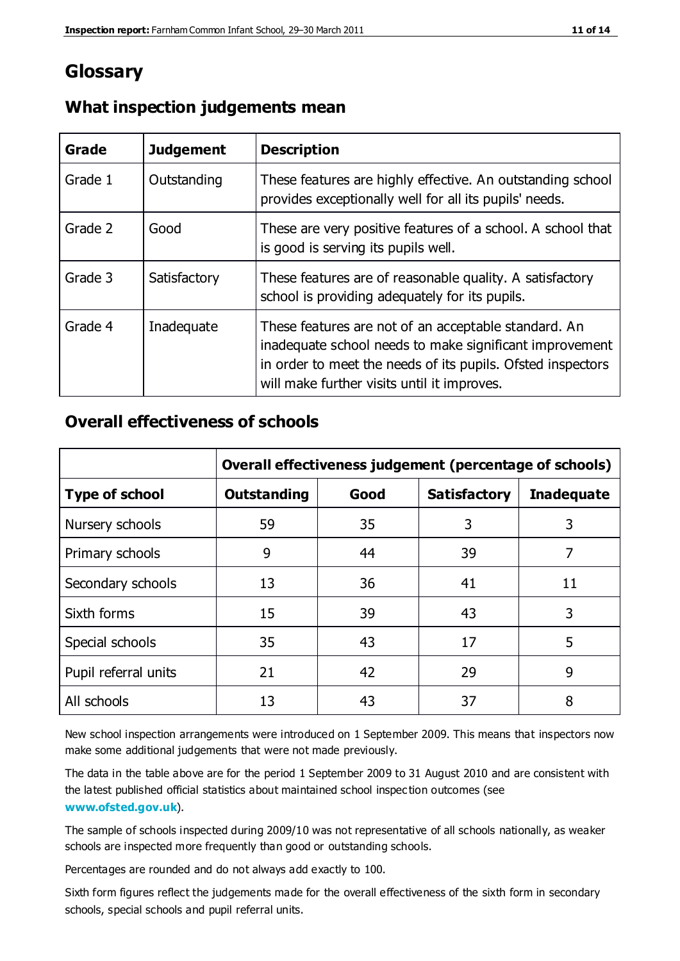#### **Glossary**

| Grade   | <b>Judgement</b> | <b>Description</b>                                                                                                                                                                                                            |
|---------|------------------|-------------------------------------------------------------------------------------------------------------------------------------------------------------------------------------------------------------------------------|
| Grade 1 | Outstanding      | These features are highly effective. An outstanding school<br>provides exceptionally well for all its pupils' needs.                                                                                                          |
| Grade 2 | Good             | These are very positive features of a school. A school that<br>is good is serving its pupils well.                                                                                                                            |
| Grade 3 | Satisfactory     | These features are of reasonable quality. A satisfactory<br>school is providing adequately for its pupils.                                                                                                                    |
| Grade 4 | Inadequate       | These features are not of an acceptable standard. An<br>inadequate school needs to make significant improvement<br>in order to meet the needs of its pupils. Ofsted inspectors<br>will make further visits until it improves. |

#### **What inspection judgements mean**

#### **Overall effectiveness of schools**

|                       | Overall effectiveness judgement (percentage of schools) |      |                     |                   |
|-----------------------|---------------------------------------------------------|------|---------------------|-------------------|
| <b>Type of school</b> | <b>Outstanding</b>                                      | Good | <b>Satisfactory</b> | <b>Inadequate</b> |
| Nursery schools       | 59                                                      | 35   | 3                   | 3                 |
| Primary schools       | 9                                                       | 44   | 39                  | 7                 |
| Secondary schools     | 13                                                      | 36   | 41                  | 11                |
| Sixth forms           | 15                                                      | 39   | 43                  | 3                 |
| Special schools       | 35                                                      | 43   | 17                  | 5                 |
| Pupil referral units  | 21                                                      | 42   | 29                  | 9                 |
| All schools           | 13                                                      | 43   | 37                  | 8                 |

New school inspection arrangements were introduced on 1 September 2009. This means that inspectors now make some additional judgements that were not made previously.

The data in the table above are for the period 1 September 2009 to 31 August 2010 and are consistent with the latest published official statistics about maintained school inspec tion outcomes (see **[www.ofsted.gov.uk](http://www.ofsted.gov.uk/)**).

The sample of schools inspected during 2009/10 was not representative of all schools nationally, as weaker schools are inspected more frequently than good or outstanding schools.

Percentages are rounded and do not always add exactly to 100.

Sixth form figures reflect the judgements made for the overall effectiveness of the sixth form in secondary schools, special schools and pupil referral units.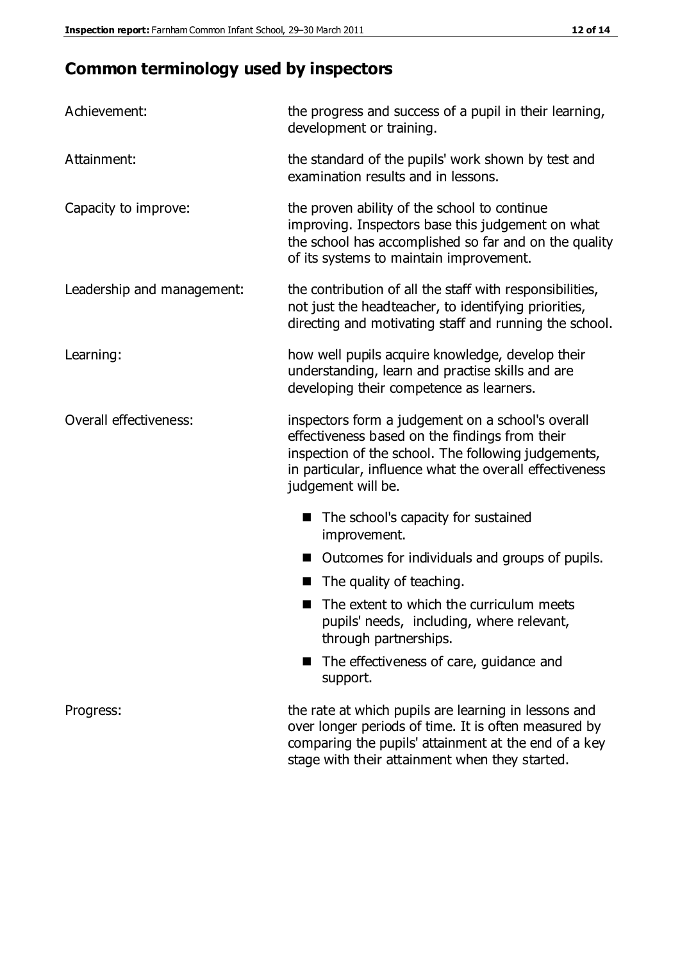#### **Common terminology used by inspectors**

| Achievement:               | the progress and success of a pupil in their learning,<br>development or training.                                                                                                                                                          |
|----------------------------|---------------------------------------------------------------------------------------------------------------------------------------------------------------------------------------------------------------------------------------------|
| Attainment:                | the standard of the pupils' work shown by test and<br>examination results and in lessons.                                                                                                                                                   |
| Capacity to improve:       | the proven ability of the school to continue<br>improving. Inspectors base this judgement on what<br>the school has accomplished so far and on the quality<br>of its systems to maintain improvement.                                       |
| Leadership and management: | the contribution of all the staff with responsibilities,<br>not just the headteacher, to identifying priorities,<br>directing and motivating staff and running the school.                                                                  |
| Learning:                  | how well pupils acquire knowledge, develop their<br>understanding, learn and practise skills and are<br>developing their competence as learners.                                                                                            |
| Overall effectiveness:     | inspectors form a judgement on a school's overall<br>effectiveness based on the findings from their<br>inspection of the school. The following judgements,<br>in particular, influence what the overall effectiveness<br>judgement will be. |
|                            | The school's capacity for sustained<br>improvement.                                                                                                                                                                                         |
|                            | Outcomes for individuals and groups of pupils.                                                                                                                                                                                              |
|                            | The quality of teaching.                                                                                                                                                                                                                    |
|                            | The extent to which the curriculum meets<br>pupils' needs, including, where relevant,<br>through partnerships.                                                                                                                              |
|                            | The effectiveness of care, guidance and<br>support.                                                                                                                                                                                         |
| Progress:                  | the rate at which pupils are learning in lessons and<br>over longer periods of time. It is often measured by<br>comparing the pupils' attainment at the end of a key                                                                        |

stage with their attainment when they started.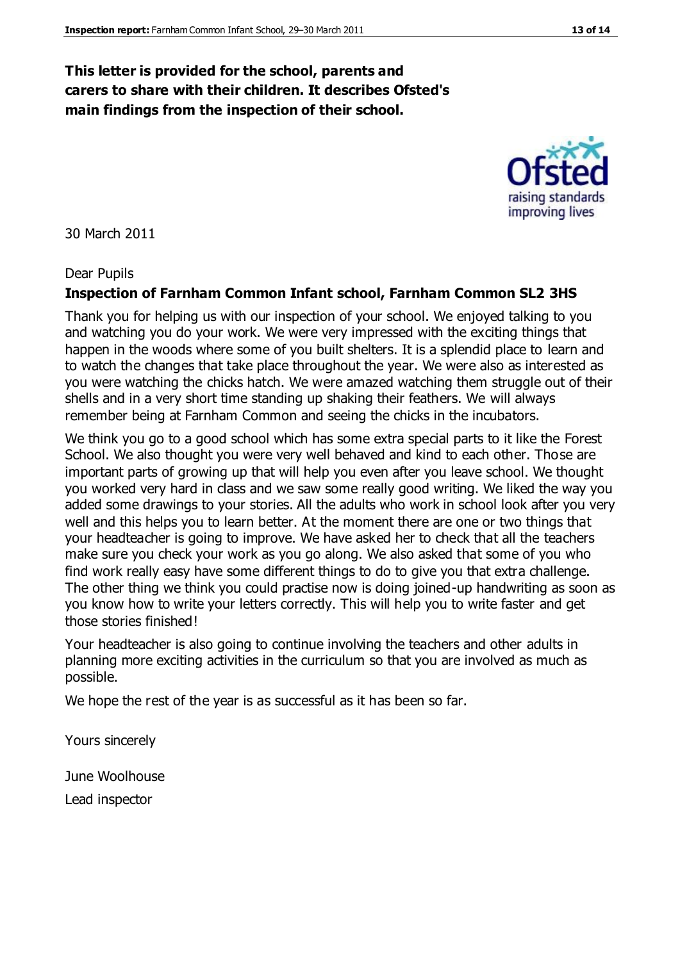#### **This letter is provided for the school, parents and carers to share with their children. It describes Ofsted's main findings from the inspection of their school.**

30 March 2011

#### Dear Pupils

#### **Inspection of Farnham Common Infant school, Farnham Common SL2 3HS**

Thank you for helping us with our inspection of your school. We enjoyed talking to you and watching you do your work. We were very impressed with the exciting things that happen in the woods where some of you built shelters. It is a splendid place to learn and to watch the changes that take place throughout the year. We were also as interested as you were watching the chicks hatch. We were amazed watching them struggle out of their shells and in a very short time standing up shaking their feathers. We will always remember being at Farnham Common and seeing the chicks in the incubators.

We think you go to a good school which has some extra special parts to it like the Forest School. We also thought you were very well behaved and kind to each other. Those are important parts of growing up that will help you even after you leave school. We thought you worked very hard in class and we saw some really good writing. We liked the way you added some drawings to your stories. All the adults who work in school look after you very well and this helps you to learn better. At the moment there are one or two things that your headteacher is going to improve. We have asked her to check that all the teachers make sure you check your work as you go along. We also asked that some of you who find work really easy have some different things to do to give you that extra challenge. The other thing we think you could practise now is doing joined-up handwriting as soon as you know how to write your letters correctly. This will help you to write faster and get those stories finished!

Your headteacher is also going to continue involving the teachers and other adults in planning more exciting activities in the curriculum so that you are involved as much as possible.

We hope the rest of the year is as successful as it has been so far.

Yours sincerely

June Woolhouse Lead inspector